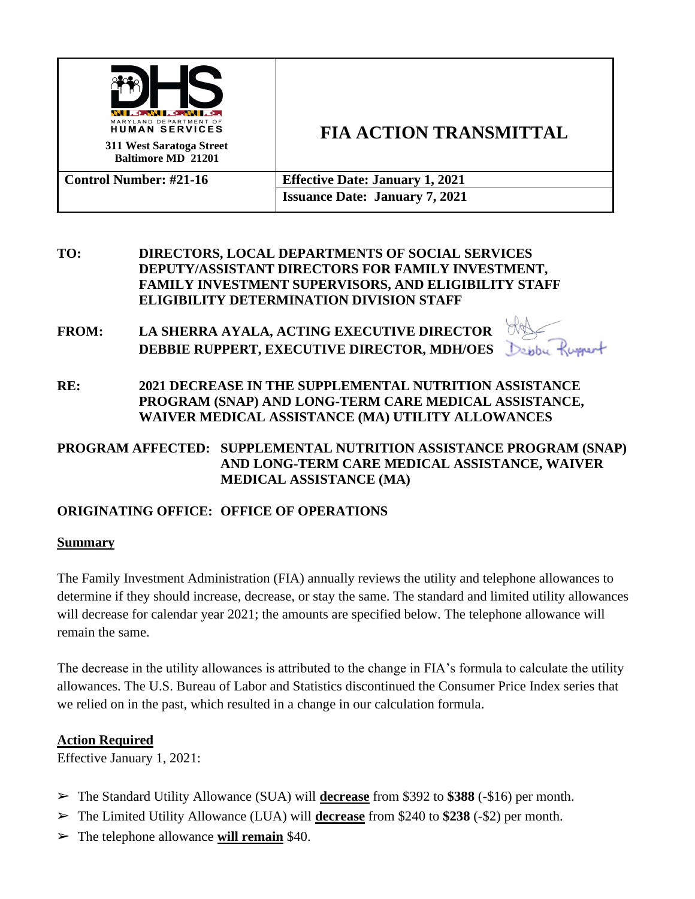

# **FIA ACTION TRANSMITTAL**

**Control Number: #21-16 Effective Date: January 1, 2021 Issuance Date: January 7, 2021**

- **TO: DIRECTORS, LOCAL DEPARTMENTS OF SOCIAL SERVICES DEPUTY/ASSISTANT DIRECTORS FOR FAMILY INVESTMENT, FAMILY INVESTMENT SUPERVISORS, AND ELIGIBILITY STAFF ELIGIBILITY DETERMINATION DIVISION STAFF**
- **FROM: LA SHERRA AYALA, ACTING EXECUTIVE DIRECTOR DEBBIE RUPPERT, EXECUTIVE DIRECTOR, MDH/OES**

**RE: 2021 DECREASE IN THE SUPPLEMENTAL NUTRITION ASSISTANCE PROGRAM (SNAP) AND LONG-TERM CARE MEDICAL ASSISTANCE, WAIVER MEDICAL ASSISTANCE (MA) UTILITY ALLOWANCES**

#### **PROGRAM AFFECTED: SUPPLEMENTAL NUTRITION ASSISTANCE PROGRAM (SNAP) AND LONG-TERM CARE MEDICAL ASSISTANCE, WAIVER MEDICAL ASSISTANCE (MA)**

# **ORIGINATING OFFICE: OFFICE OF OPERATIONS**

#### **Summary**

The Family Investment Administration (FIA) annually reviews the utility and telephone allowances to determine if they should increase, decrease, or stay the same. The standard and limited utility allowances will decrease for calendar year 2021; the amounts are specified below. The telephone allowance will remain the same.

The decrease in the utility allowances is attributed to the change in FIA's formula to calculate the utility allowances. The U.S. Bureau of Labor and Statistics discontinued the Consumer Price Index series that we relied on in the past, which resulted in a change in our calculation formula.

### **Action Required**

Effective January 1, 2021:

- ➢ The Standard Utility Allowance (SUA) will **decrease** from \$392 to **\$388** (-\$16) per month.
- ➢ The Limited Utility Allowance (LUA) will **decrease** from \$240 to **\$238** (-\$2) per month.
- ➢ The telephone allowance **will remain** \$40.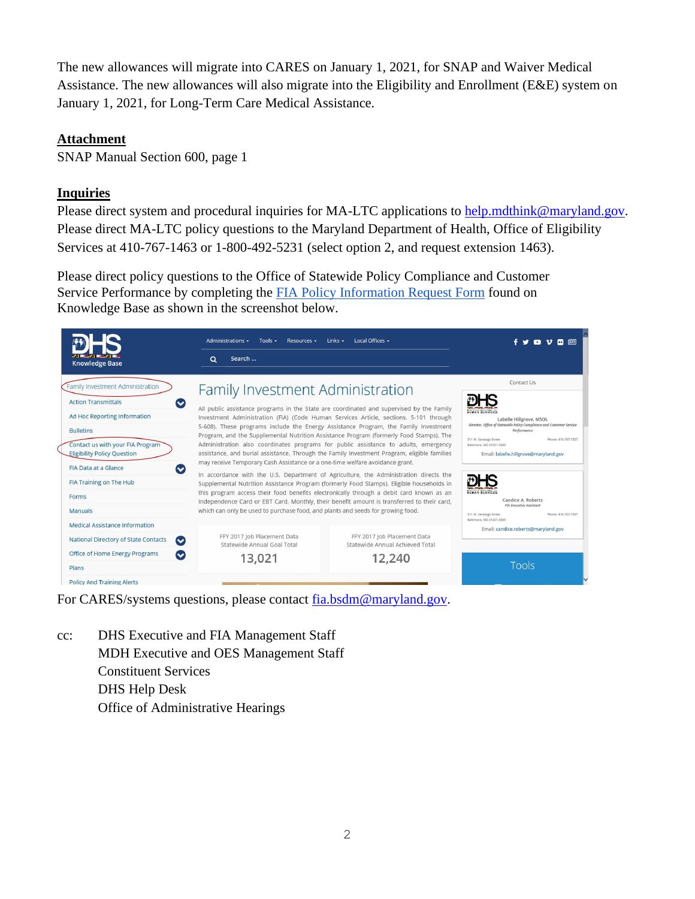The new allowances will migrate into CARES on January 1, 2021, for SNAP and Waiver Medical Assistance. The new allowances will also migrate into the Eligibility and Enrollment (E&E) system on January 1, 2021, for Long-Term Care Medical Assistance.

#### **Attachment**

SNAP Manual Section 600, page 1

#### **Inquiries**

Please direct system and procedural inquiries for MA-LTC applications to [help.mdthink@maryland.gov.](mailto:help.mdthink@maryland.gov) Please direct MA-LTC policy questions to the Maryland Department of Health, Office of Eligibility Services at 410-767-1463 or 1-800-492-5231 (select option 2, and request extension 1463).

Please direct policy questions to the Office of Statewide Policy Compliance and Customer Service Performance by completing the **[FIA Policy Information Request Form](https://kb.dhs.maryland.gov/family-investment-administration/contact-us-with-your-fia-program-eligibility-policy-question/)** found on Knowledge Base as shown in the screenshot below.



For CARES/systems questions, please contact [fia.bsdm@maryland.gov.](mailto:fia.bsdm@maryland.gov)

cc: DHS Executive and FIA Management Staff MDH Executive and OES Management Staff Constituent Services DHS Help Desk Office of Administrative Hearings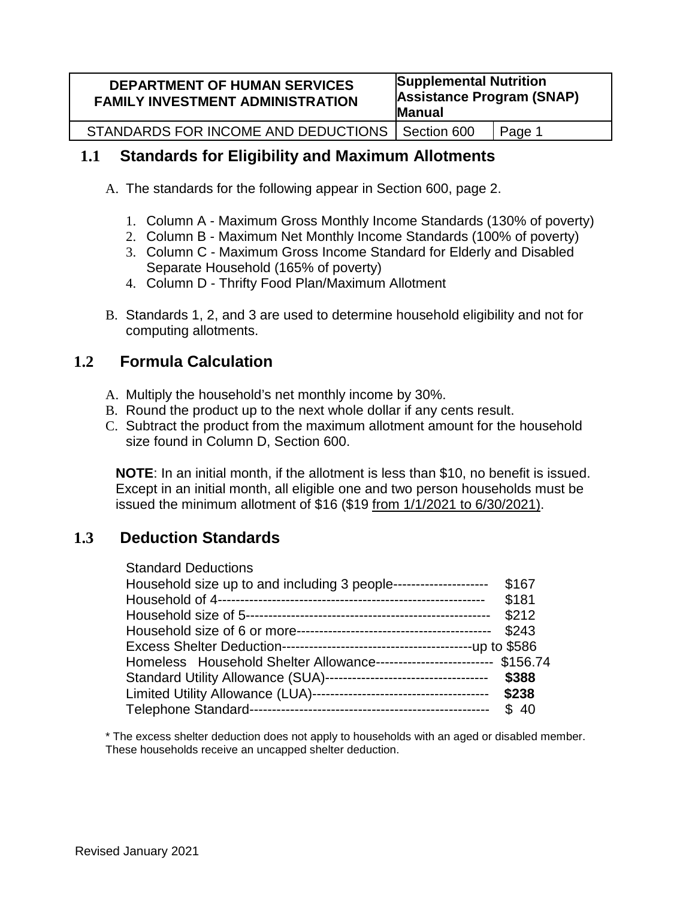| <b>DEPARTMENT OF HUMAN SERVICES</b><br><b>FAMILY INVESTMENT ADMINISTRATION</b> | <b>Supplemental Nutrition</b><br><b>Assistance Program (SNAP)</b><br>Manual |        |  |  |
|--------------------------------------------------------------------------------|-----------------------------------------------------------------------------|--------|--|--|
| STANDARDS FOR INCOME AND DEDUCTIONS   Section 600                              |                                                                             | Page 1 |  |  |

# **1.1 Standards for Eligibility and Maximum Allotments**

- A. The standards for the following appear in Section 600, page 2.
	- 1. Column A Maximum Gross Monthly Income Standards (130% of poverty)
	- 2. Column B Maximum Net Monthly Income Standards (100% of poverty)
	- 3. Column C Maximum Gross Income Standard for Elderly and Disabled Separate Household (165% of poverty)
	- 4. Column D Thrifty Food Plan/Maximum Allotment
- B. Standards 1, 2, and 3 are used to determine household eligibility and not for computing allotments.

# **1.2 Formula Calculation**

- A. Multiply the household's net monthly income by 30%.
- B. Round the product up to the next whole dollar if any cents result.
- C. Subtract the product from the maximum allotment amount for the household size found in Column D, Section 600.

**NOTE**: In an initial month, if the allotment is less than \$10, no benefit is issued. Except in an initial month, all eligible one and two person households must be issued the minimum allotment of \$16 (\$19 from 1/1/2021 to 6/30/2021).

# **1.3 Deduction Standards**

| <b>Standard Deductions</b>                                              |       |
|-------------------------------------------------------------------------|-------|
| Household size up to and including 3 people---------------------        | \$167 |
|                                                                         | \$181 |
|                                                                         | \$212 |
|                                                                         | \$243 |
|                                                                         |       |
| Homeless Household Shelter Allowance-------------------------- \$156.74 |       |
| Standard Utility Allowance (SUA)-----------------------------------     | \$388 |
|                                                                         | \$238 |
|                                                                         | \$40  |

\* The excess shelter deduction does not apply to households with an aged or disabled member. These households receive an uncapped shelter deduction.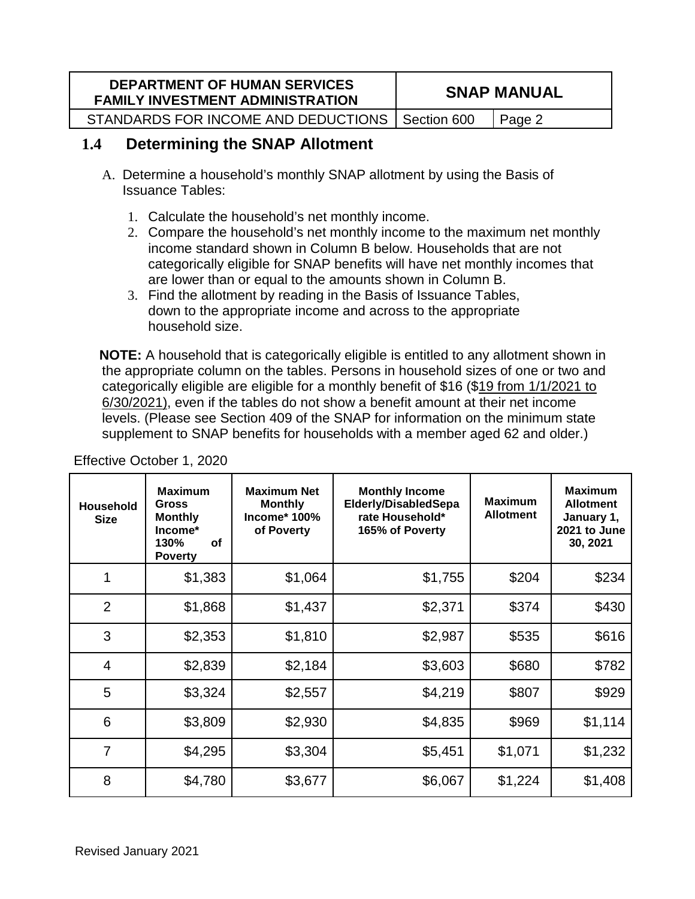| <b>DEPARTMENT OF HUMAN SERVICES</b><br><b>FAMILY INVESTMENT ADMINISTRATION</b> | <b>SNAP MANUAL</b> |        |  |
|--------------------------------------------------------------------------------|--------------------|--------|--|
| STANDARDS FOR INCOME AND DEDUCTIONS   Section 600                              |                    | Page 2 |  |

# **1.4 Determining the SNAP Allotment**

- A. Determine a household's monthly SNAP allotment by using the Basis of Issuance Tables:
	- 1. Calculate the household's net monthly income.
	- 2. Compare the household's net monthly income to the maximum net monthly income standard shown in Column B below. Households that are not categorically eligible for SNAP benefits will have net monthly incomes that are lower than or equal to the amounts shown in Column B.
	- 3. Find the allotment by reading in the Basis of Issuance Tables, down to the appropriate income and across to the appropriate household size.

**NOTE:** A household that is categorically eligible is entitled to any allotment shown in the appropriate column on the tables. Persons in household sizes of one or two and categorically eligible are eligible for a monthly benefit of \$16 (\$19 from 1/1/2021 to 6/30/2021), even if the tables do not show a benefit amount at their net income levels. (Please see Section 409 of the SNAP for information on the minimum state supplement to SNAP benefits for households with a member aged 62 and older.)

| <b>Household</b><br><b>Size</b> | <b>Maximum</b><br><b>Gross</b><br><b>Monthly</b><br>Income*<br>130%<br><b>of</b><br><b>Poverty</b> | <b>Maximum Net</b><br><b>Monthly</b><br><b>Income* 100%</b><br>of Poverty | <b>Monthly Income</b><br><b>Elderly/DisabledSepa</b><br>rate Household*<br>165% of Poverty | <b>Maximum</b><br><b>Allotment</b> | <b>Maximum</b><br><b>Allotment</b><br>January 1,<br>2021 to June<br>30, 2021 |
|---------------------------------|----------------------------------------------------------------------------------------------------|---------------------------------------------------------------------------|--------------------------------------------------------------------------------------------|------------------------------------|------------------------------------------------------------------------------|
| 1                               | \$1,383                                                                                            | \$1,064                                                                   | \$1,755                                                                                    | \$204                              | \$234                                                                        |
| 2                               | \$1,868                                                                                            | \$1,437                                                                   | \$2,371                                                                                    | \$374                              | \$430                                                                        |
| 3                               | \$2,353                                                                                            | \$1,810                                                                   | \$2,987                                                                                    | \$535                              | \$616                                                                        |
| $\overline{4}$                  | \$2,839                                                                                            | \$2,184                                                                   | \$3,603                                                                                    | \$680                              | \$782                                                                        |
| 5                               | \$3,324                                                                                            | \$2,557                                                                   | \$4,219                                                                                    | \$807                              | \$929                                                                        |
| 6                               | \$3,809                                                                                            | \$2,930                                                                   | \$4,835                                                                                    | \$969                              | \$1,114                                                                      |
| $\overline{7}$                  | \$4,295                                                                                            | \$3,304                                                                   | \$5,451                                                                                    | \$1,071                            | \$1,232                                                                      |
| 8                               | \$4,780                                                                                            | \$3,677                                                                   | \$6,067                                                                                    | \$1,224                            | \$1,408                                                                      |

Effective October 1, 2020